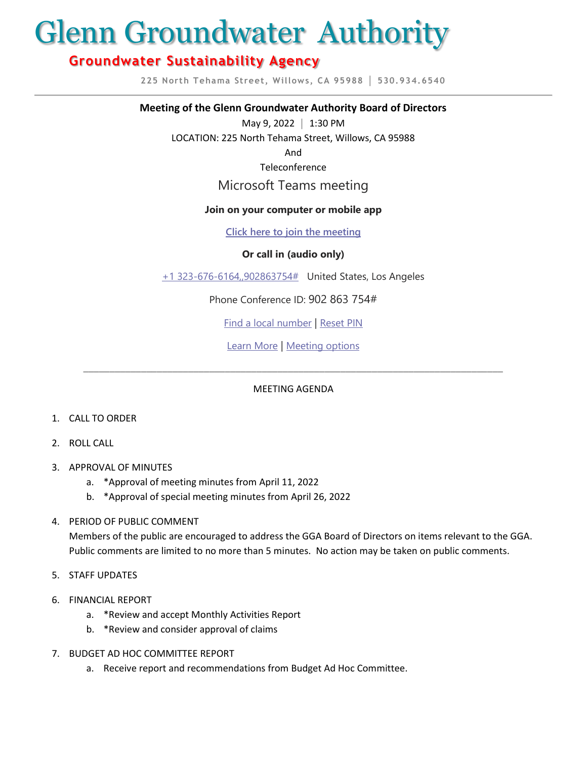# Glenn Groundwater Authority

## **Groundwater Sustainability Agency**

**225 North Tehama Street, Willows, CA 95988 │ 530.934.6540**

#### **Meeting of the Glenn Groundwater Authority Board of Directors**

May 9, 2022 **│** 1:30 PM

LOCATION: 225 North Tehama Street, Willows, CA 95988

And

Teleconference

### Microsoft Teams meeting

#### **Join on your computer or mobile app**

**[Click here to join the meeting](https://teams.microsoft.com/l/meetup-join/19%3ameeting_YmY2ZWYwZWQtZjc3Ni00Yjc1LTk2YzAtYzBjMjdhMTY3NzU1%40thread.v2/0?context=%7b%22Tid%22%3a%22c4b8b9b4-758f-42d1-ab7d-7abbb2b863f9%22%2c%22Oid%22%3a%22fd30fdc1-bb59-4fdf-aec6-b6acdcba876d%22%7d)**

#### **Or call in (audio only)**

[+1 323-676-6164,,902863754#](tel:+13236766164,,902863754# ) United States, Los Angeles

Phone Conference ID: 902 863 754#

[Find a local number](https://dialin.teams.microsoft.com/2a88a23a-57a4-49cb-91ff-e37e6ba1c580?id=902863754) | [Reset PIN](https://mysettings.lync.com/pstnconferencing)

[Learn More](https://aka.ms/JoinTeamsMeeting) | [Meeting options](https://teams.microsoft.com/meetingOptions/?organizerId=fd30fdc1-bb59-4fdf-aec6-b6acdcba876d&tenantId=c4b8b9b4-758f-42d1-ab7d-7abbb2b863f9&threadId=19_meeting_YmY2ZWYwZWQtZjc3Ni00Yjc1LTk2YzAtYzBjMjdhMTY3NzU1@thread.v2&messageId=0&language=en-US)

#### MEETING AGENDA

\_\_\_\_\_\_\_\_\_\_\_\_\_\_\_\_\_\_\_\_\_\_\_\_\_\_\_\_\_\_\_\_\_\_\_\_\_\_\_\_\_\_\_\_\_\_\_\_\_\_\_\_\_\_\_\_\_\_\_\_\_\_\_\_\_\_\_\_\_\_\_\_\_\_\_\_\_\_\_\_

- 1. CALL TO ORDER
- 2. ROLL CALL
- 3. APPROVAL OF MINUTES
	- a. \*Approval of meeting minutes from April 11, 2022
	- b. \*Approval of special meeting minutes from April 26, 2022

#### 4. PERIOD OF PUBLIC COMMENT

Members of the public are encouraged to address the GGA Board of Directors on items relevant to the GGA. Public comments are limited to no more than 5 minutes. No action may be taken on public comments.

- 5. STAFF UPDATES
- 6. FINANCIAL REPORT
	- a. \*Review and accept Monthly Activities Report
	- b. \*Review and consider approval of claims
- 7. BUDGET AD HOC COMMITTEE REPORT
	- a. Receive report and recommendations from Budget Ad Hoc Committee.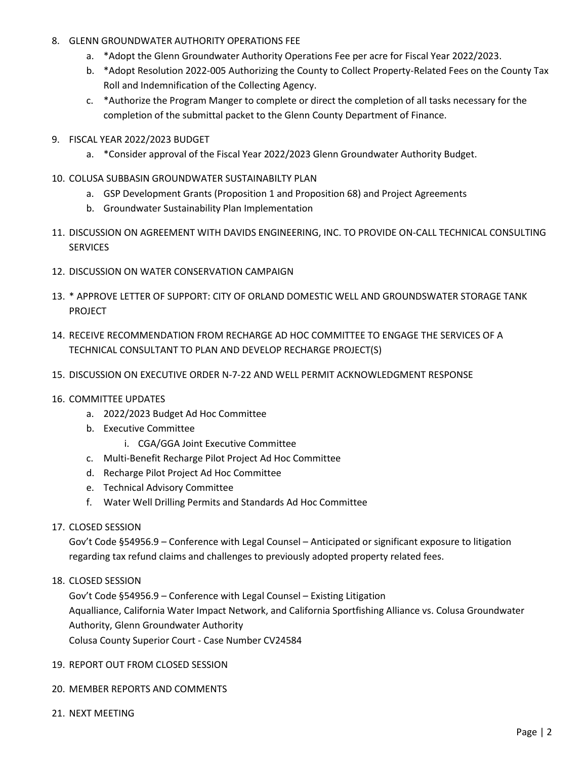#### 8. GLENN GROUNDWATER AUTHORITY OPERATIONS FEE

- a. \*Adopt the Glenn Groundwater Authority Operations Fee per acre for Fiscal Year 2022/2023.
- b. \*Adopt Resolution 2022-005 Authorizing the County to Collect Property-Related Fees on the County Tax Roll and Indemnification of the Collecting Agency.
- c. \*Authorize the Program Manger to complete or direct the completion of all tasks necessary for the completion of the submittal packet to the Glenn County Department of Finance.
- 9. FISCAL YEAR 2022/2023 BUDGET
	- a. \*Consider approval of the Fiscal Year 2022/2023 Glenn Groundwater Authority Budget.
- 10. COLUSA SUBBASIN GROUNDWATER SUSTAINABILTY PLAN
	- a. GSP Development Grants (Proposition 1 and Proposition 68) and Project Agreements
	- b. Groundwater Sustainability Plan Implementation
- 11. DISCUSSION ON AGREEMENT WITH DAVIDS ENGINEERING, INC. TO PROVIDE ON-CALL TECHNICAL CONSULTING SERVICES
- 12. DISCUSSION ON WATER CONSERVATION CAMPAIGN
- 13. \* APPROVE LETTER OF SUPPORT: CITY OF ORLAND DOMESTIC WELL AND GROUNDSWATER STORAGE TANK PROJECT
- 14. RECEIVE RECOMMENDATION FROM RECHARGE AD HOC COMMITTEE TO ENGAGE THE SERVICES OF A TECHNICAL CONSULTANT TO PLAN AND DEVELOP RECHARGE PROJECT(S)
- 15. DISCUSSION ON EXECUTIVE ORDER N-7-22 AND WELL PERMIT ACKNOWLEDGMENT RESPONSE

#### 16. COMMITTEE UPDATES

- a. 2022/2023 Budget Ad Hoc Committee
- b. Executive Committee
	- i. CGA/GGA Joint Executive Committee
- c. Multi-Benefit Recharge Pilot Project Ad Hoc Committee
- d. Recharge Pilot Project Ad Hoc Committee
- e. Technical Advisory Committee
- f. Water Well Drilling Permits and Standards Ad Hoc Committee

#### 17. CLOSED SESSION

Gov't Code §54956.9 – Conference with Legal Counsel – Anticipated or significant exposure to litigation regarding tax refund claims and challenges to previously adopted property related fees.

18. CLOSED SESSION

Gov't Code §54956.9 – Conference with Legal Counsel – Existing Litigation Aqualliance, California Water Impact Network, and California Sportfishing Alliance vs. Colusa Groundwater Authority, Glenn Groundwater Authority Colusa County Superior Court - Case Number CV24584

#### 19. REPORT OUT FROM CLOSED SESSION

#### 20. MEMBER REPORTS AND COMMENTS

21. NEXT MEETING